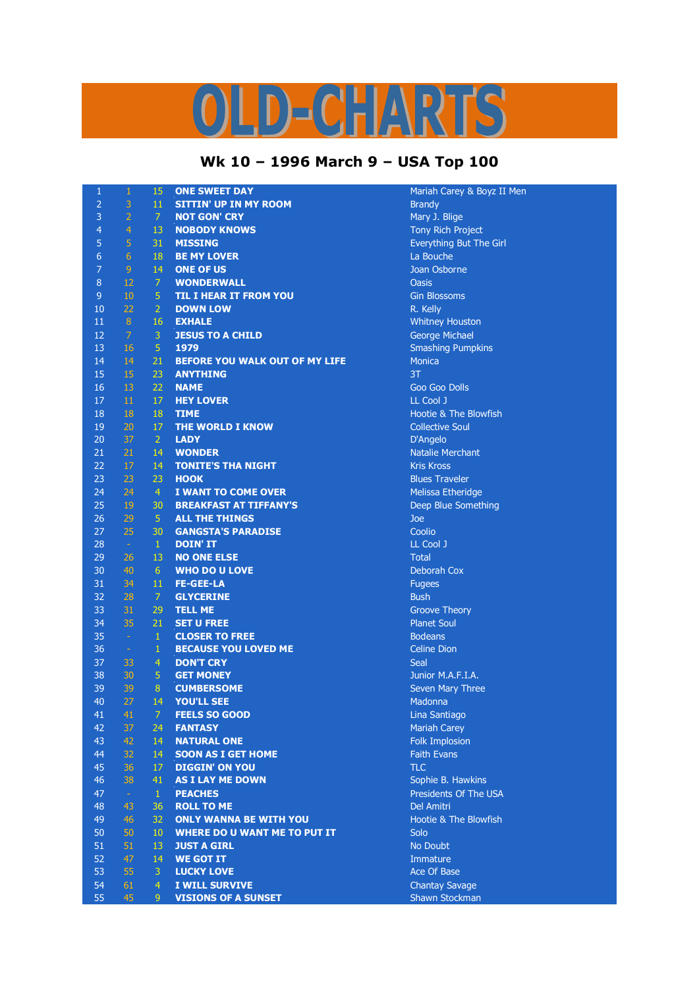## $\mathbf{P}$  $\overline{\mathbf{v}}$  $\bigcap$

## **Wk 10 – 1996 March 9 – USA Top 100**

| $\mathbf{1}$     | $\mathbf{1}$   | 15             | <b>ONE SWEET DAY</b>                | Mariah Carey & Boyz II   |
|------------------|----------------|----------------|-------------------------------------|--------------------------|
| $\overline{2}$   | 3              | 11             | <b>SITTIN' UP IN MY ROOM</b>        | <b>Brandy</b>            |
| 3                | $\overline{2}$ | 7              | <b>NOT GON' CRY</b>                 | Mary J. Blige            |
| $\overline{4}$   | $\overline{4}$ | 13             | <b>NOBODY KNOWS</b>                 | <b>Tony Rich Project</b> |
| 5                | 5              | 31             | <b>MISSING</b>                      | Everything But The Girl  |
| $\boldsymbol{6}$ | 6              | 18             | <b>BE MY LOVER</b>                  | La Bouche                |
| $\overline{7}$   | $\overline{9}$ | 14             | <b>ONE OF US</b>                    | Joan Osborne             |
| 8                | 12             | $\overline{7}$ | <b>WONDERWALL</b>                   | <b>Oasis</b>             |
| 9                | 10             | 5              | <b>TIL I HEAR IT FROM YOU</b>       | <b>Gin Blossoms</b>      |
| 10               | 22             | $\overline{2}$ | <b>DOWN LOW</b>                     | R. Kelly                 |
| 11               | 8 <sup>°</sup> | 16             | <b>EXHALE</b>                       |                          |
| 12               | $\overline{7}$ | $\mathbf{3}$   |                                     | <b>Whitney Houston</b>   |
| 13               |                | 5              | <b>JESUS TO A CHILD</b><br>1979     | <b>George Michael</b>    |
|                  | 16             |                |                                     | <b>Smashing Pumpkins</b> |
| 14               | 14             | 21             | BEFORE YOU WALK OUT OF MY LIFE      | <b>Monica</b>            |
| 15               | 15             | 23             | <b>ANYTHING</b>                     | 3T                       |
| 16               | 13             | 22             | <b>NAME</b>                         | <b>Goo Goo Dolls</b>     |
| 17               | 11             | 17             | <b>HEY LOVER</b>                    | LL Cool J                |
| 18               | 18             | 18             | <b>TIME</b>                         | Hootie & The Blowfish    |
| 19               | 20             | 17             | <b>THE WORLD I KNOW</b>             | <b>Collective Soul</b>   |
| 20               | 37             | $\overline{2}$ | <b>LADY</b>                         | D'Angelo                 |
| 21               | 21             | 14             | <b>WONDER</b>                       | <b>Natalie Merchant</b>  |
| 22               | $17\,$         | 14             | <b>TONITE'S THA NIGHT</b>           | <b>Kris Kross</b>        |
| 23               | 23             | 23             | <b>HOOK</b>                         | <b>Blues Traveler</b>    |
| 24               | 24             | $\overline{4}$ | I WANT TO COME OVER                 | Melissa Etheridge        |
| 25               | 19             | 30             | <b>BREAKFAST AT TIFFANY'S</b>       | Deep Blue Something      |
| 26               | 29             | $\overline{5}$ | <b>ALL THE THINGS</b>               | Joe                      |
| 27               | 25             | 30             | <b>GANGSTA'S PARADISE</b>           | Coolio                   |
| 28               | $\sim$ $^{-1}$ | $\mathbf{1}$   | <b>DOIN' IT</b>                     | LL Cool J                |
| 29               | 26             | 13             | <b>NO ONE ELSE</b>                  | <b>Total</b>             |
| 30               | 40             | 6 <sup>1</sup> | <b>WHO DO U LOVE</b>                | Deborah Cox              |
| 31               | 34             | 11             | <b>FE-GEE-LA</b>                    | <b>Fugees</b>            |
| 32               | 28             | 7              | <b>GLYCERINE</b>                    | <b>Bush</b>              |
| 33               | 31             | 29             | <b>TELL ME</b>                      | <b>Groove Theory</b>     |
| 34               | 35             | 21             | <b>SET U FREE</b>                   | <b>Planet Soul</b>       |
| 35               | $\sim$         | $\mathbf{1}$   | <b>CLOSER TO FREE</b>               | <b>Bodeans</b>           |
| 36               | $\sim$         | $\mathbf 1$    | <b>BECAUSE YOU LOVED ME</b>         | <b>Celine Dion</b>       |
| 37               | 33             | $\overline{4}$ | <b>DON'T CRY</b>                    | Seal                     |
| 38               | 30             | 5              | <b>GET MONEY</b>                    | Junior M.A.F.I.A.        |
| 39               | 39             | 8              | <b>CUMBERSOME</b>                   | <b>Seven Mary Three</b>  |
| 40               | 27             | 14             | <b>YOU'LL SEE</b>                   | Madonna                  |
| 41               | 41             | 7              | <b>FEELS SO GOOD</b>                | Lina Santiago            |
| 42               | 37             | 24             | <b>FANTASY</b>                      | <b>Mariah Carey</b>      |
| 43               | 42             | 14             | <b>NATURAL ONE</b>                  | <b>Folk Implosion</b>    |
| 44               | 32             | 14             | <b>SOON AS I GET HOME</b>           | <b>Faith Evans</b>       |
| 45               | 36             | 17             | <b>DIGGIN' ON YOU</b>               | <b>TLC</b>               |
| 46               | 38             | 41             | <b>AS I LAY ME DOWN</b>             | Sophie B. Hawkins        |
| 47               | $\pm$          | $\mathbf{1}$   | <b>PEACHES</b>                      | Presidents Of The USA    |
| 48               | 43             | 36             | <b>ROLL TO ME</b>                   | Del Amitri               |
| 49               | 46             | 32             | <b>ONLY WANNA BE WITH YOU</b>       | Hootie & The Blowfish    |
| 50               | 50             | $10\,$         | <b>WHERE DO U WANT ME TO PUT IT</b> | Solo                     |
| 51               | 51             | 13             | <b>JUST A GIRL</b>                  | No Doubt                 |
| 52               | 47             | 14             | <b>WE GOT IT</b>                    | Immature                 |
| 53               | 55             | 3              | <b>LUCKY LOVE</b>                   | Ace Of Base              |
| 54               | 61             | $\overline{4}$ | <b>I WILL SURVIVE</b>               | <b>Chantay Savage</b>    |
| 55               | 45             | 9              | <b>VISIONS OF A SUNSET</b>          | Shawn Stockman           |
|                  |                |                |                                     |                          |

**Larey & Boyz II Men 19 Pumpkins** . The Blowfish Etheridge ue Something lary Three **8. Hawkins** nts Of The USA . The Blowfish